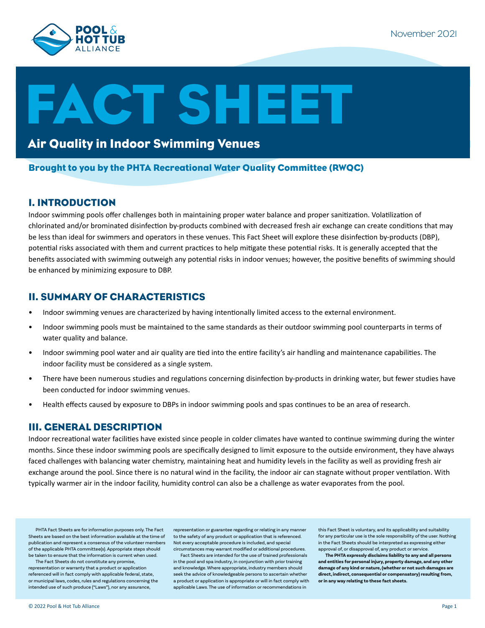

# **ACT SHEET**

# Air Quality in Indoor Swimming Venues

### Brought to you by the PHTA Recreational Water Quality Committee (RWQC)

## I. INTRODUCTION

Indoor swimming pools offer challenges both in maintaining proper water balance and proper sanitization. Volatilization of chlorinated and/or brominated disinfection by-products combined with decreased fresh air exchange can create conditions that may be less than ideal for swimmers and operators in these venues. This Fact Sheet will explore these disinfection by-products (DBP), potential risks associated with them and current practices to help mitigate these potential risks. It is generally accepted that the benefits associated with swimming outweigh any potential risks in indoor venues; however, the positive benefits of swimming should be enhanced by minimizing exposure to DBP.

# II. SUMMARY OF CHARACTERISTICS

- Indoor swimming venues are characterized by having intentionally limited access to the external environment.
- Indoor swimming pools must be maintained to the same standards as their outdoor swimming pool counterparts in terms of water quality and balance.
- Indoor swimming pool water and air quality are tied into the entire facility's air handling and maintenance capabilities. The indoor facility must be considered as a single system.
- There have been numerous studies and regulations concerning disinfection by-products in drinking water, but fewer studies have been conducted for indoor swimming venues.
- Health effects caused by exposure to DBPs in indoor swimming pools and spas continues to be an area of research.

## III. GENERAL DESCRIPTION

Indoor recreational water facilities have existed since people in colder climates have wanted to continue swimming during the winter months. Since these indoor swimming pools are specifically designed to limit exposure to the outside environment, they have always faced challenges with balancing water chemistry, maintaining heat and humidity levels in the facility as well as providing fresh air exchange around the pool. Since there is no natural wind in the facility, the indoor air can stagnate without proper ventilation. With typically warmer air in the indoor facility, humidity control can also be a challenge as water evaporates from the pool.

PHTA Fact Sheets are for information purposes only. The Fact Sheets are based on the best information available at the time of publication and represent a consensus of the volunteer members of the applicable PHTA committee(s). Appropriate steps should be taken to ensure that the information is current when used.

The Fact Sheets do not constitute any promise, representation or warranty that a product or application referenced will in fact comply with applicable federal, state, or municipal laws, codes, rules and regulations concerning the intended use of such produce ("Laws"), nor any assurance,

representation or guarantee regarding or relating in any manner to the safety of any product or application that is referenced. Not every acceptable procedure is included, and special circumstances may warrant modified or additional procedures.

Fact Sheets are intended for the use of trained professionals in the pool and spa industry, in conjunction with prior training and knowledge. Where appropriate, industry members should seek the advice of knowledgeable persons to ascertain whether a product or application is appropriate or will in fact comply with applicable Laws. The use of information or recommendations in

this Fact Sheet is voluntary, and its applicability and suitability for any particular use is the sole responsibility of the user. Nothing in the Fact Sheets should be interpreted as expressing either approval of, or disapproval of, any product or service.

**The PHTA expressly disclaims liability to any and all persons and entities for personal injury, property damage, and any other damage of any kind or nature, (whether or not such damages are direct, indirect, consequential or compensatory) resulting from, or in any way relating to these fact sheets.**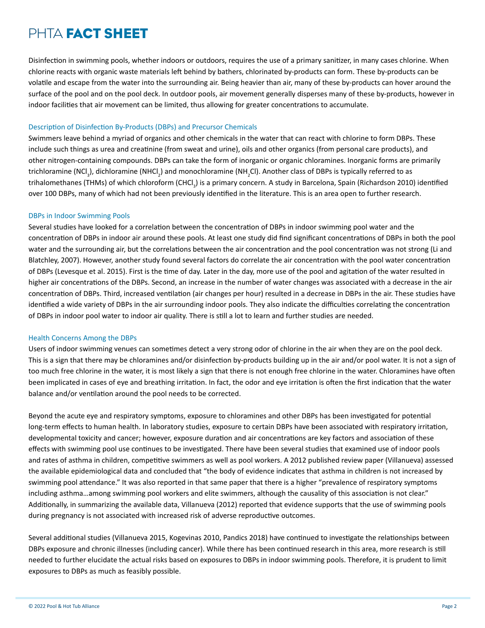# PHTA **FACT SHEET**

Disinfection in swimming pools, whether indoors or outdoors, requires the use of a primary sanitizer, in many cases chlorine. When chlorine reacts with organic waste materials left behind by bathers, chlorinated by-products can form. These by-products can be volatile and escape from the water into the surrounding air. Being heavier than air, many of these by-products can hover around the surface of the pool and on the pool deck. In outdoor pools, air movement generally disperses many of these by-products, however in indoor facilities that air movement can be limited, thus allowing for greater concentrations to accumulate.

#### Description of Disinfection By-Products (DBPs) and Precursor Chemicals

Swimmers leave behind a myriad of organics and other chemicals in the water that can react with chlorine to form DBPs. These include such things as urea and creatinine (from sweat and urine), oils and other organics (from personal care products), and other nitrogen-containing compounds. DBPs can take the form of inorganic or organic chloramines. Inorganic forms are primarily trichloramine (NCl<sub>3</sub>), dichloramine (NHCl<sub>2</sub>) and monochloramine (NH<sub>2</sub>Cl). Another class of DBPs is typically referred to as trihalomethanes (THMs) of which chloroform (CHCl<sub>3</sub>) is a primary concern. A study in Barcelona, Spain (Richardson 2010) identified over 100 DBPs, many of which had not been previously identified in the literature. This is an area open to further research.

#### DBPs in Indoor Swimming Pools

Several studies have looked for a correlation between the concentration of DBPs in indoor swimming pool water and the concentration of DBPs in indoor air around these pools. At least one study did find significant concentrations of DBPs in both the pool water and the surrounding air, but the correlations between the air concentration and the pool concentration was not strong (Li and Blatchley, 2007). However, another study found several factors do correlate the air concentration with the pool water concentration of DBPs (Levesque et al. 2015). First is the time of day. Later in the day, more use of the pool and agitation of the water resulted in higher air concentrations of the DBPs. Second, an increase in the number of water changes was associated with a decrease in the air concentration of DBPs. Third, increased ventilation (air changes per hour) resulted in a decrease in DBPs in the air. These studies have identified a wide variety of DBPs in the air surrounding indoor pools. They also indicate the difficulties correlating the concentration of DBPs in indoor pool water to indoor air quality. There is still a lot to learn and further studies are needed.

#### Health Concerns Among the DBPs

Users of indoor swimming venues can sometimes detect a very strong odor of chlorine in the air when they are on the pool deck. This is a sign that there may be chloramines and/or disinfection by-products building up in the air and/or pool water. It is not a sign of too much free chlorine in the water, it is most likely a sign that there is not enough free chlorine in the water. Chloramines have often been implicated in cases of eye and breathing irritation. In fact, the odor and eye irritation is often the first indication that the water balance and/or ventilation around the pool needs to be corrected.

Beyond the acute eye and respiratory symptoms, exposure to chloramines and other DBPs has been investigated for potential long-term effects to human health. In laboratory studies, exposure to certain DBPs have been associated with respiratory irritation, developmental toxicity and cancer; however, exposure duration and air concentrations are key factors and association of these effects with swimming pool use continues to be investigated. There have been several studies that examined use of indoor pools and rates of asthma in children, competitive swimmers as well as pool workers. A 2012 published review paper (Villanueva) assessed the available epidemiological data and concluded that "the body of evidence indicates that asthma in children is not increased by swimming pool attendance." It was also reported in that same paper that there is a higher "prevalence of respiratory symptoms including asthma…among swimming pool workers and elite swimmers, although the causality of this association is not clear." Additionally, in summarizing the available data, Villanueva (2012) reported that evidence supports that the use of swimming pools during pregnancy is not associated with increased risk of adverse reproductive outcomes.

Several additional studies (Villanueva 2015, Kogevinas 2010, Pandics 2018) have continued to investigate the relationships between DBPs exposure and chronic illnesses (including cancer). While there has been continued research in this area, more research is still needed to further elucidate the actual risks based on exposures to DBPs in indoor swimming pools. Therefore, it is prudent to limit exposures to DBPs as much as feasibly possible.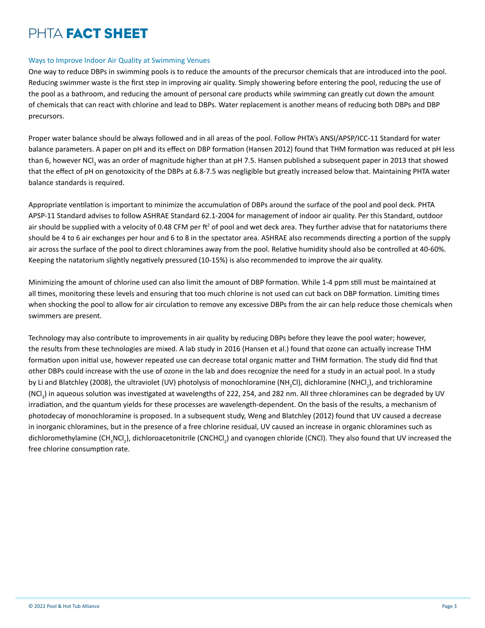# PHTA **FACT SHEET**

#### Ways to Improve Indoor Air Quality at Swimming Venues

One way to reduce DBPs in swimming pools is to reduce the amounts of the precursor chemicals that are introduced into the pool. Reducing swimmer waste is the first step in improving air quality. Simply showering before entering the pool, reducing the use of the pool as a bathroom, and reducing the amount of personal care products while swimming can greatly cut down the amount of chemicals that can react with chlorine and lead to DBPs. Water replacement is another means of reducing both DBPs and DBP precursors.

Proper water balance should be always followed and in all areas of the pool. Follow PHTA's ANSI/APSP/ICC-11 Standard for water balance parameters. A paper on pH and its effect on DBP formation (Hansen 2012) found that THM formation was reduced at pH less than 6, however NCl<sub>3</sub> was an order of magnitude higher than at pH 7.5. Hansen published a subsequent paper in 2013 that showed that the effect of pH on genotoxicity of the DBPs at 6.8-7.5 was negligible but greatly increased below that. Maintaining PHTA water balance standards is required.

Appropriate ventilation is important to minimize the accumulation of DBPs around the surface of the pool and pool deck. PHTA APSP-11 Standard advises to follow ASHRAE Standard 62.1-2004 for management of indoor air quality. Per this Standard, outdoor air should be supplied with a velocity of 0.48 CFM per ft<sup>2</sup> of pool and wet deck area. They further advise that for natatoriums there should be 4 to 6 air exchanges per hour and 6 to 8 in the spectator area. ASHRAE also recommends directing a portion of the supply air across the surface of the pool to direct chloramines away from the pool. Relative humidity should also be controlled at 40-60%. Keeping the natatorium slightly negatively pressured (10-15%) is also recommended to improve the air quality.

Minimizing the amount of chlorine used can also limit the amount of DBP formation. While 1-4 ppm still must be maintained at all times, monitoring these levels and ensuring that too much chlorine is not used can cut back on DBP formation. Limiting times when shocking the pool to allow for air circulation to remove any excessive DBPs from the air can help reduce those chemicals when swimmers are present.

Technology may also contribute to improvements in air quality by reducing DBPs before they leave the pool water; however, the results from these technologies are mixed. A lab study in 2016 (Hansen et al.) found that ozone can actually increase THM formation upon initial use, however repeated use can decrease total organic matter and THM formation. The study did find that other DBPs could increase with the use of ozone in the lab and does recognize the need for a study in an actual pool. In a study by Li and Blatchley (2008), the ultraviolet (UV) photolysis of monochloramine (NH<sub>2</sub>Cl), dichloramine (NHCl<sub>2</sub>), and trichloramine (NCl<sub>3</sub>) in aqueous solution was investigated at wavelengths of 222, 254, and 282 nm. All three chloramines can be degraded by UV irradiation, and the quantum yields for these processes are wavelength-dependent. On the basis of the results, a mechanism of photodecay of monochloramine is proposed. In a subsequent study, Weng and Blatchley (2012) found that UV caused a decrease in inorganic chloramines, but in the presence of a free chlorine residual, UV caused an increase in organic chloramines such as dichloromethylamine (CH<sub>3</sub>NCl<sub>2</sub>), dichloroacetonitrile (CNCHCl<sub>2</sub>) and cyanogen chloride (CNCl). They also found that UV increased the free chlorine consumption rate.